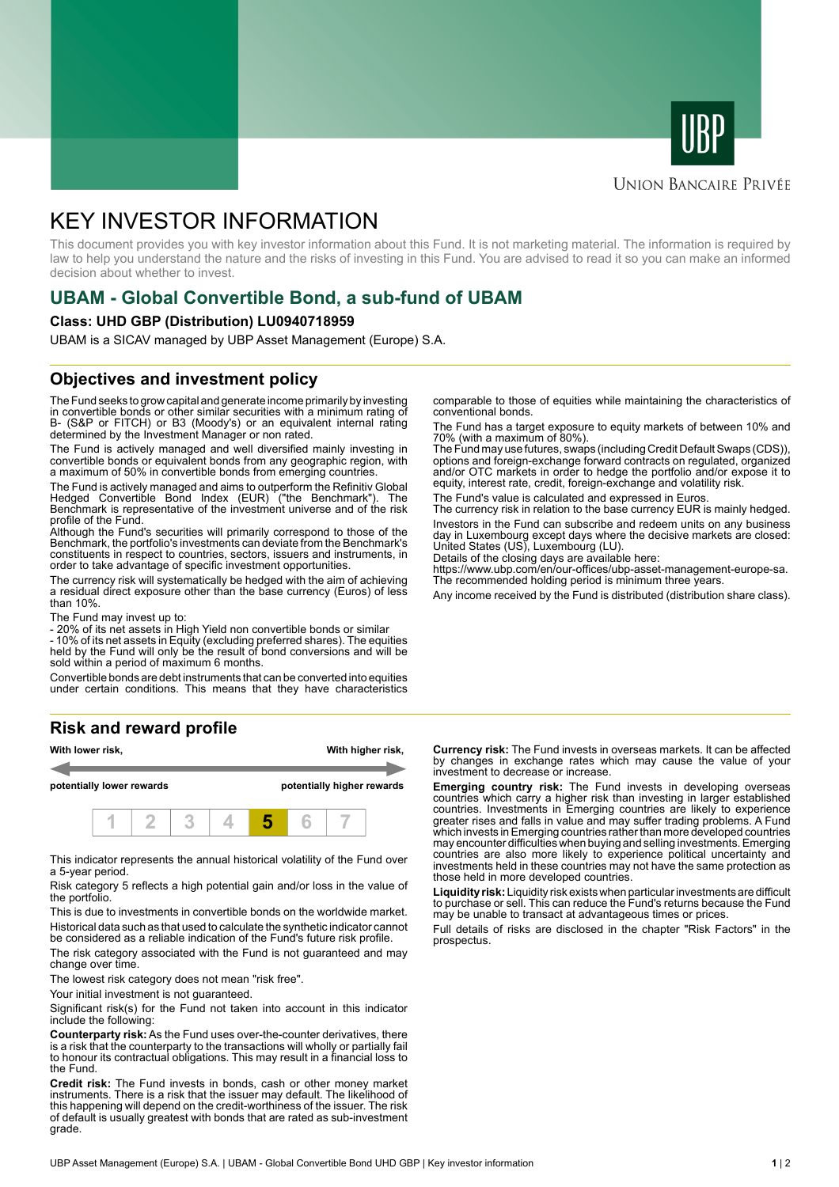



#### **UNION BANCAIRE PRIVÉE**

# KEY INVESTOR INFORMATION

This document provides you with key investor information about this Fund. It is not marketing material. The information is required by law to help you understand the nature and the risks of investing in this Fund. You are advised to read it so you can make an informed decision about whether to invest.

# **UBAM - Global Convertible Bond, a sub-fund of UBAM**

#### **Class: UHD GBP (Distribution) LU0940718959**

UBAM is a SICAV managed by UBP Asset Management (Europe) S.A.

### **Objectives and investment policy**

The Fund seeks to grow capital and generate income primarily by investing in convertible bonds or other similar securities with a minimum rating of B- (S&P or FITCH) or B3 (Moody's) or an equivalent internal rating determined by the Investment Manager or non rated.

The Fund is actively managed and well diversified mainly investing in convertible bonds or equivalent bonds from any geographic region, with a maximum of 50% in convertible bonds from emerging countries.

The Fund is actively managed and aims to outperform the Refinitiv Global Hedged Convertible Bond Index (EUR) ("the Benchmark"). The Benchmark is representative of the investment universe and of the risk profile of the Fund.

Although the Fund's securities will primarily correspond to those of the Benchmark, the portfolio's investments can deviate from the Benchmark's constituents in respect to countries, sectors, issuers and instruments, in order to take advantage of specific investment opportunities.

The currency risk will systematically be hedged with the aim of achieving a residual direct exposure other than the base currency (Euros) of less than 10%.

The Fund may invest up to:

- 20% of its net assets in High Yield non convertible bonds or similar

- 10% of its net assets in Equity (excluding preferred shares). The equities held by the Fund will only be the result of bond conversions and will be sold within a period of maximum 6 months.

Convertible bonds are debt instruments that can be converted into equities under certain conditions. This means that they have characteristics

# **Risk and reward profile**



This indicator represents the annual historical volatility of the Fund over a 5-year period.

Risk category 5 reflects a high potential gain and/or loss in the value of the portfolio.

This is due to investments in convertible bonds on the worldwide market. Historical data such as that used to calculate the synthetic indicator cannot be considered as a reliable indication of the Fund's future risk profile.

The risk category associated with the Fund is not guaranteed and may change over time.

The lowest risk category does not mean "risk free".

Your initial investment is not quaranteed.

Significant risk(s) for the Fund not taken into account in this indicator include the following:

**Counterparty risk:** As the Fund uses over-the-counter derivatives, there is a risk that the counterparty to the transactions will wholly or partially fail to honour its contractual obligations. This may result in a financial loss to the Fund.

**Credit risk:** The Fund invests in bonds, cash or other money market instruments. There is a risk that the issuer may default. The likelihood of this happening will depend on the credit-worthiness of the issuer. The risk of default is usually greatest with bonds that are rated as sub-investment grade.

comparable to those of equities while maintaining the characteristics of conventional bonds.

The Fund has a target exposure to equity markets of between 10% and 70% (with a maximum of 80%).

The Fund may use futures, swaps (including Credit Default Swaps (CDS)), options and foreign-exchange forward contracts on regulated, organized and/or OTC markets in order to hedge the portfolio and/or expose it to equity, interest rate, credit, foreign-exchange and volatility risk.

The Fund's value is calculated and expressed in Euros.

The currency risk in relation to the base currency EUR is mainly hedged. Investors in the Fund can subscribe and redeem units on any business day in Luxembourg except days where the decisive markets are closed: United States (US), Luxembourg (LU).

Details of the closing days are available here:

https://www.ubp.com/en/our-offices/ubp-asset-management-europe-sa. The recommended holding period is minimum three years.

Any income received by the Fund is distributed (distribution share class).

**Currency risk:** The Fund invests in overseas markets. It can be affected by changes in exchange rates which may cause the value of your investment to decrease or increase.

**Emerging country risk:** The Fund invests in developing overseas countries which carry a higher risk than investing in larger established countries. Investments in Emerging countries are likely to experience greater rises and falls in value and may suffer trading problems. A Fund which invests in Emerging countries rather than more developed countries may encounter difficulties when buying and selling investments. Emerging countries are also more likely to experience political uncertainty and investments held in these countries may not have the same protection as those held in more developed countries.

**Liquidity risk:** Liquidity risk exists when particular investments are difficult to purchase or sell. This can reduce the Fund's returns because the Fund may be unable to transact at advantageous times or prices.

Full details of risks are disclosed in the chapter "Risk Factors" in the prospectus.